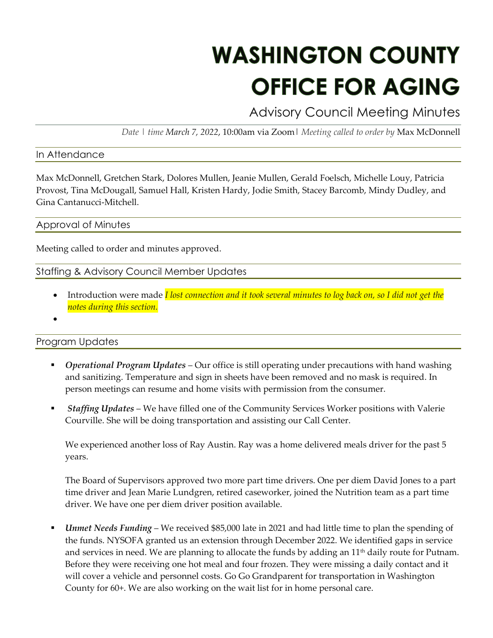# **WASHINGTON COUNTY OFFICE FOR AGING**

Advisory Council Meeting Minutes

*Date | time March 7, 2022*, 10:00am via Zoom| *Meeting called to order by* Max McDonnell

#### In Attendance

Max McDonnell, Gretchen Stark, Dolores Mullen, Jeanie Mullen, Gerald Foelsch, Michelle Louy, Patricia Provost, Tina McDougall, Samuel Hall, Kristen Hardy, Jodie Smith, Stacey Barcomb, Mindy Dudley, and Gina Cantanucci-Mitchell.

#### Approval of Minutes

Meeting called to order and minutes approved.

# Staffing & Advisory Council Member Updates

- Introduction were made *I lost connection and it took several minutes to log back on, so I did not get the notes during this section.*
- •

## Program Updates

- *Operational Program Updates* Our office is still operating under precautions with hand washing and sanitizing. Temperature and sign in sheets have been removed and no mask is required. In person meetings can resume and home visits with permission from the consumer.
- *Staffing Updates* We have filled one of the Community Services Worker positions with Valerie Courville. She will be doing transportation and assisting our Call Center.

We experienced another loss of Ray Austin. Ray was a home delivered meals driver for the past 5 years.

The Board of Supervisors approved two more part time drivers. One per diem David Jones to a part time driver and Jean Marie Lundgren, retired caseworker, joined the Nutrition team as a part time driver. We have one per diem driver position available.

*Unmet Needs Funding* – We received \$85,000 late in 2021 and had little time to plan the spending of the funds. NYSOFA granted us an extension through December 2022. We identified gaps in service and services in need. We are planning to allocate the funds by adding an  $11<sup>th</sup>$  daily route for Putnam. Before they were receiving one hot meal and four frozen. They were missing a daily contact and it will cover a vehicle and personnel costs. Go Go Grandparent for transportation in Washington County for 60+. We are also working on the wait list for in home personal care.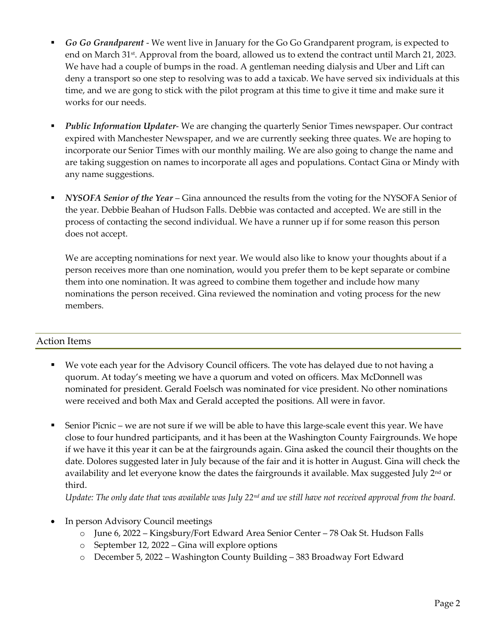- *Go Go Grandparent*  We went live in January for the Go Go Grandparent program, is expected to end on March 31<sup>st</sup>. Approval from the board, allowed us to extend the contract until March 21, 2023. We have had a couple of bumps in the road. A gentleman needing dialysis and Uber and Lift can deny a transport so one step to resolving was to add a taxicab. We have served six individuals at this time, and we are gong to stick with the pilot program at this time to give it time and make sure it works for our needs.
- **Public Information Updater-** We are changing the quarterly Senior Times newspaper. Our contract expired with Manchester Newspaper, and we are currently seeking three quates. We are hoping to incorporate our Senior Times with our monthly mailing. We are also going to change the name and are taking suggestion on names to incorporate all ages and populations. Contact Gina or Mindy with any name suggestions.
- *NYSOFA Senior of the Year* Gina announced the results from the voting for the NYSOFA Senior of the year. Debbie Beahan of Hudson Falls. Debbie was contacted and accepted. We are still in the process of contacting the second individual. We have a runner up if for some reason this person does not accept.

We are accepting nominations for next year. We would also like to know your thoughts about if a person receives more than one nomination, would you prefer them to be kept separate or combine them into one nomination. It was agreed to combine them together and include how many nominations the person received. Gina reviewed the nomination and voting process for the new members.

## Action Items

- We vote each year for the Advisory Council officers. The vote has delayed due to not having a quorum. At today's meeting we have a quorum and voted on officers. Max McDonnell was nominated for president. Gerald Foelsch was nominated for vice president. No other nominations were received and both Max and Gerald accepted the positions. All were in favor.
- Senior Picnic we are not sure if we will be able to have this large-scale event this year. We have close to four hundred participants, and it has been at the Washington County Fairgrounds. We hope if we have it this year it can be at the fairgrounds again. Gina asked the council their thoughts on the date. Dolores suggested later in July because of the fair and it is hotter in August. Gina will check the availability and let everyone know the dates the fairgrounds it available. Max suggested July  $2<sup>nd</sup>$  or third.

*Update: The only date that was available was July 22nd and we still have not received approval from the board.* 

- In person Advisory Council meetings
	- o June 6, 2022 Kingsbury/Fort Edward Area Senior Center 78 Oak St. Hudson Falls
	- o September 12, 2022 Gina will explore options
	- o December 5, 2022 Washington County Building 383 Broadway Fort Edward